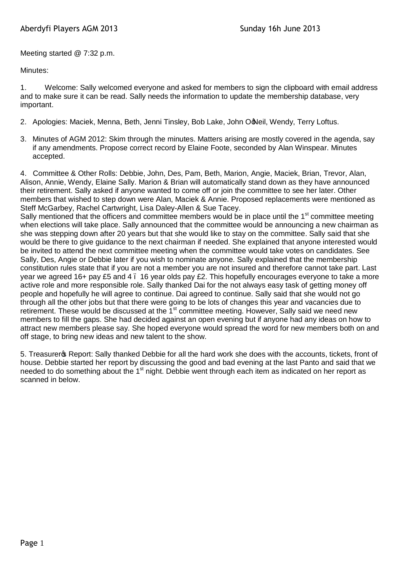Meeting started @ 7:32 p.m.

Minutes:

1. Welcome: Sally welcomed everyone and asked for members to sign the clipboard with email address and to make sure it can be read. Sally needs the information to update the membership database, very important.

- 2. Apologies: Maciek, Menna, Beth, Jenni Tinsley, Bob Lake, John O'Neil, Wendy, Terry Loftus.
- 3. Minutes of AGM 2012: Skim through the minutes. Matters arising are mostly covered in the agenda, say if any amendments. Propose correct record by Elaine Foote, seconded by Alan Winspear. Minutes accepted.

4. Committee & Other Rolls: Debbie, John, Des, Pam, Beth, Marion, Angie, Maciek, Brian, Trevor, Alan, Alison, Annie, Wendy, Elaine Sally. Marion & Brian will automatically stand down as they have announced their retirement. Sally asked if anyone wanted to come off or join the committee to see her later. Other members that wished to step down were Alan, Maciek & Annie. Proposed replacements were mentioned as Steff McGarbey, Rachel Cartwright, Lisa Daley-Allen & Sue Tacey.

Sally mentioned that the officers and committee members would be in place until the 1<sup>st</sup> committee meeting when elections will take place. Sally announced that the committee would be announcing a new chairman as she was stepping down after 20 years but that she would like to stay on the committee. Sally said that she would be there to give guidance to the next chairman if needed. She explained that anyone interested would be invited to attend the next committee meeting when the committee would take votes on candidates. See Sally, Des, Angie or Debbie later if you wish to nominate anyone. Sally explained that the membership constitution rules state that if you are not a member you are not insured and therefore cannot take part. Last year we agreed 16+ pay £5 and 4 – 16 year olds pay £2. This hopefully encourages everyone to take a more active role and more responsible role. Sally thanked Dai for the not always easy task of getting money off people and hopefully he will agree to continue. Dai agreed to continue. Sally said that she would not go through all the other jobs but that there were going to be lots of changes this year and vacancies due to retirement. These would be discussed at the  $1<sup>st</sup>$  committee meeting. However, Sally said we need new members to fill the gaps. She had decided against an open evening but if anyone had any ideas on how to attract new members please say. She hoped everyone would spread the word for new members both on and off stage, to bring new ideas and new talent to the show.

5. Treasurer & Report: Sally thanked Debbie for all the hard work she does with the accounts, tickets, front of house. Debbie started her report by discussing the good and bad evening at the last Panto and said that we needed to do something about the 1<sup>st</sup> night. Debbie went through each item as indicated on her report as scanned in below.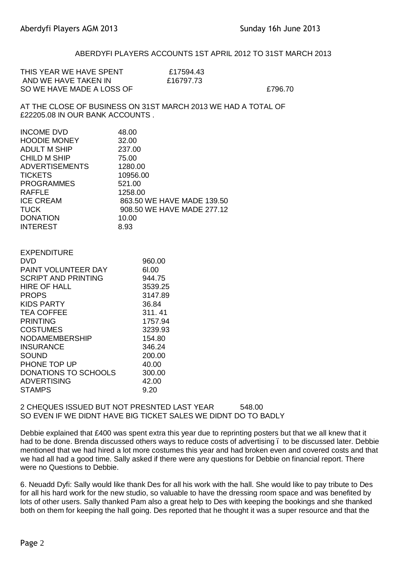## ABERDYFI PLAYERS ACCOUNTS 1ST APRIL 2012 TO 31ST MARCH 2013

| THIS YEAR WE HAVE SPENT   | £17594.43 |         |
|---------------------------|-----------|---------|
| AND WE HAVE TAKEN IN      | £16797.73 |         |
| SO WE HAVE MADE A LOSS OF |           | £796.70 |
|                           |           |         |

AT THE CLOSE OF BUSINESS ON 31ST MARCH 2013 WE HAD A TOTAL OF £22205.08 IN OUR BANK ACCOUNTS .

| <b>INCOME DVD</b>     | 48.00                      |
|-----------------------|----------------------------|
| <b>HOODIE MONEY</b>   | 32.00                      |
| <b>ADULT M SHIP</b>   | 237.00                     |
| <b>CHILD M SHIP</b>   | 75.00                      |
| <b>ADVERTISEMENTS</b> | 1280.00                    |
| <b>TICKETS</b>        | 10956.00                   |
| <b>PROGRAMMES</b>     | 521.00                     |
| <b>RAFFLE</b>         | 1258.00                    |
| <b>ICE CREAM</b>      | 863.50 WE HAVE MADE 139.50 |
| <b>TUCK</b>           | 908.50 WE HAVE MADE 277.12 |
| <b>DONATION</b>       | 10.00                      |
| <b>INTEREST</b>       | 8.93                       |
|                       |                            |

| <b>EXPENDITURE</b>          |         |
|-----------------------------|---------|
| DVD                         | 960.00  |
| <b>PAINT VOLUNTEER DAY</b>  | 61.00   |
| <b>SCRIPT AND PRINTING</b>  | 944.75  |
| HIRE OF HALL                | 3539.25 |
| <b>PROPS</b>                | 3147.89 |
| <b>KIDS PARTY</b>           | 36.84   |
| <b>TEA COFFEE</b>           | 311.41  |
| <b>PRINTING</b>             | 1757.94 |
| <b>COSTUMES</b>             | 3239.93 |
| <b>NODAMEMBERSHIP</b>       | 154.80  |
| <b>INSURANCE</b>            | 346.24  |
| SOUND                       | 200.00  |
| PHONE TOP UP                | 40.00   |
| <b>DONATIONS TO SCHOOLS</b> | 300.00  |
| <b>ADVERTISING</b>          | 42.00   |
| <b>STAMPS</b>               | 9.20    |

2 CHEQUES ISSUED BUT NOT PRESNTED LAST YEAR 548.00 SO EVEN IF WE DIDNT HAVE BIG TICKET SALES WE DIDNT DO TO BADLY

Debbie explained that £400 was spent extra this year due to reprinting posters but that we all knew that it had to be done. Brenda discussed others ways to reduce costs of advertising . to be discussed later. Debbie mentioned that we had hired a lot more costumes this year and had broken even and covered costs and that we had all had a good time. Sally asked if there were any questions for Debbie on financial report. There were no Questions to Debbie.

6. Neuadd Dyfi: Sally would like thank Des for all his work with the hall. She would like to pay tribute to Des for all his hard work for the new studio, so valuable to have the dressing room space and was benefited by lots of other users. Sally thanked Pam also a great help to Des with keeping the bookings and she thanked both on them for keeping the hall going. Des reported that he thought it was a super resource and that the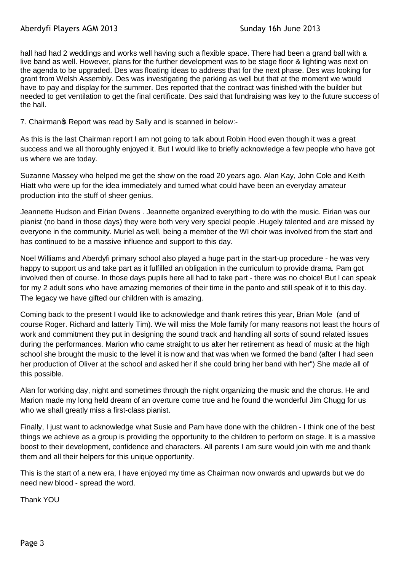hall had had 2 weddings and works well having such a flexible space. There had been a grand ball with a live band as well. However, plans for the further development was to be stage floor & lighting was next on the agenda to be upgraded. Des was floating ideas to address that for the next phase. Des was looking for grant from Welsh Assembly. Des was investigating the parking as well but that at the moment we would have to pay and display for the summer. Des reported that the contract was finished with the builder but needed to get ventilation to get the final certificate. Des said that fundraising was key to the future success of the hall.

7. Chairmanos Report was read by Sally and is scanned in below:-

As this is the last Chairman report I am not going to talk about Robin Hood even though it was a great success and we all thoroughly enjoyed it. But I would like to briefly acknowledge a few people who have got us where we are today.

Suzanne Massey who helped me get the show on the road 20 years ago. Alan Kay, John Cole and Keith Hiatt who were up for the idea immediately and turned what could have been an everyday amateur production into the stuff of sheer genius.

Jeannette Hudson and Eirian 0wens . Jeannette organized everything to do with the music. Eirian was our pianist (no band in those days) they were both very very special people .Hugely talented and are missed by everyone in the community. Muriel as well, being a member of the WI choir was involved from the start and has continued to be a massive influence and support to this day.

Noel Williams and Aberdyfi primary school also played a huge part in the start-up procedure - he was very happy to support us and take part as it fulfilled an obligation in the curriculum to provide drama. Pam got involved then of course. In those days pupils here all had to take part - there was no choice! But l can speak for my 2 adult sons who have amazing memories of their time in the panto and still speak of it to this day. The legacy we have gifted our children with is amazing.

Coming back to the present I would like to acknowledge and thank retires this year, Brian Mole (and of course Roger. Richard and latterly Tim). We will miss the Mole family for many reasons not least the hours of work and commitment they put in designing the sound track and handling all sorts of sound related issues during the performances. Marion who came straight to us alter her retirement as head of music at the high school she brought the music to the level it is now and that was when we formed the band (after I had seen her production of Oliver at the school and asked her if she could bring her band with her") She made all of this possible.

Alan for working day, night and sometimes through the night organizing the music and the chorus. He and Marion made my long held dream of an overture come true and he found the wonderful Jim Chugg for us who we shall greatly miss a first-class pianist.

Finally, I just want to acknowledge what Susie and Pam have done with the children - I think one of the best things we achieve as a group is providing the opportunity to the children to perform on stage. It is a massive boost to their development, confidence and characters. All parents I am sure would join with me and thank them and all their helpers for this unique opportunity.

This is the start of a new era, I have enjoyed my time as Chairman now onwards and upwards but we do need new blood - spread the word.

Thank YOU